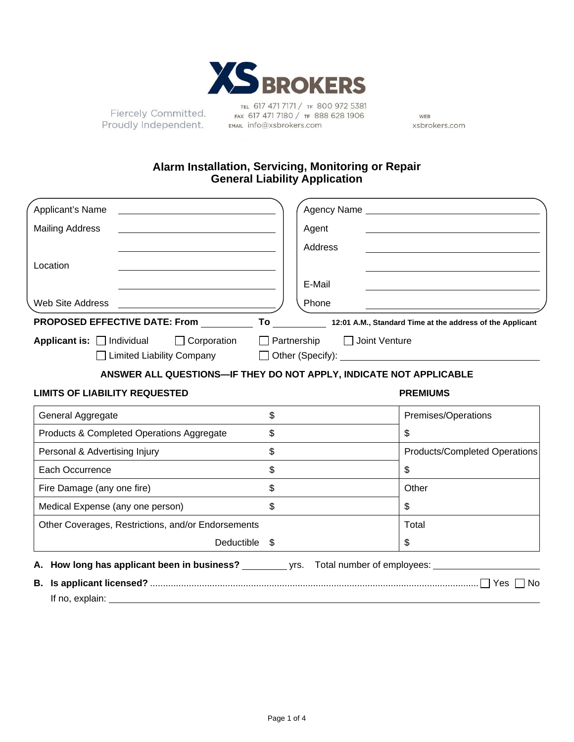

Fiercely Committed. Proudly Independent.

TEL 617 471 7171 / TF 800 972 5381 FAX 617 471 7180 / TF 888 628 1906 EMAIL info@xsbrokers.com

WEB xsbrokers.com

# **Alarm Installation, Servicing, Monitoring or Repair General Liability Application**

| Applicant's Name                          |                                                                    |                |         |                 | Agency Name experience and the state of the state of the state of the state of the state of the state of the state of the state of the state of the state of the state of the state of the state of the state of the state of |
|-------------------------------------------|--------------------------------------------------------------------|----------------|---------|-----------------|-------------------------------------------------------------------------------------------------------------------------------------------------------------------------------------------------------------------------------|
| <b>Mailing Address</b>                    |                                                                    |                | Agent   |                 |                                                                                                                                                                                                                               |
|                                           |                                                                    |                | Address |                 |                                                                                                                                                                                                                               |
| Location                                  |                                                                    |                |         |                 |                                                                                                                                                                                                                               |
|                                           |                                                                    |                | E-Mail  |                 |                                                                                                                                                                                                                               |
| Web Site Address                          |                                                                    |                | Phone   |                 |                                                                                                                                                                                                                               |
|                                           |                                                                    |                |         |                 | PROPOSED EFFECTIVE DATE: From To 12:01 A.M., Standard Time at the address of the Applicant                                                                                                                                    |
| Applicant is: $\Box$ Individual           | $\Box$ Corporation $\Box$ Partnership                              |                |         | □ Joint Venture |                                                                                                                                                                                                                               |
|                                           |                                                                    |                |         |                 |                                                                                                                                                                                                                               |
|                                           | ANSWER ALL QUESTIONS-IF THEY DO NOT APPLY, INDICATE NOT APPLICABLE |                |         |                 |                                                                                                                                                                                                                               |
| <b>LIMITS OF LIABILITY REQUESTED</b>      |                                                                    |                |         | <b>PREMIUMS</b> |                                                                                                                                                                                                                               |
| General Aggregate                         |                                                                    | $\mathfrak{S}$ |         |                 | Premises/Operations                                                                                                                                                                                                           |
| Products & Completed Operations Aggregate |                                                                    | \$             |         | \$              |                                                                                                                                                                                                                               |
| Personal & Advertising Injury             |                                                                    | \$             |         |                 | <b>Products/Completed Operations</b>                                                                                                                                                                                          |
| Each Occurrence                           |                                                                    | \$             |         | \$              |                                                                                                                                                                                                                               |
| Fire Damage (any one fire)                |                                                                    | \$             |         | Other           |                                                                                                                                                                                                                               |
| Medical Expense (any one person)          |                                                                    | \$             |         | \$              |                                                                                                                                                                                                                               |
|                                           | Other Coverages, Restrictions, and/or Endorsements                 |                |         | Total           |                                                                                                                                                                                                                               |
|                                           | Deductible                                                         | - \$           |         | \$              |                                                                                                                                                                                                                               |
|                                           |                                                                    |                |         |                 | <b>A. How long has applicant been in business?</b> The sysapportional number of employees:                                                                                                                                    |
| В.                                        |                                                                    |                |         |                 |                                                                                                                                                                                                                               |
| If no, explain:                           |                                                                    |                |         |                 |                                                                                                                                                                                                                               |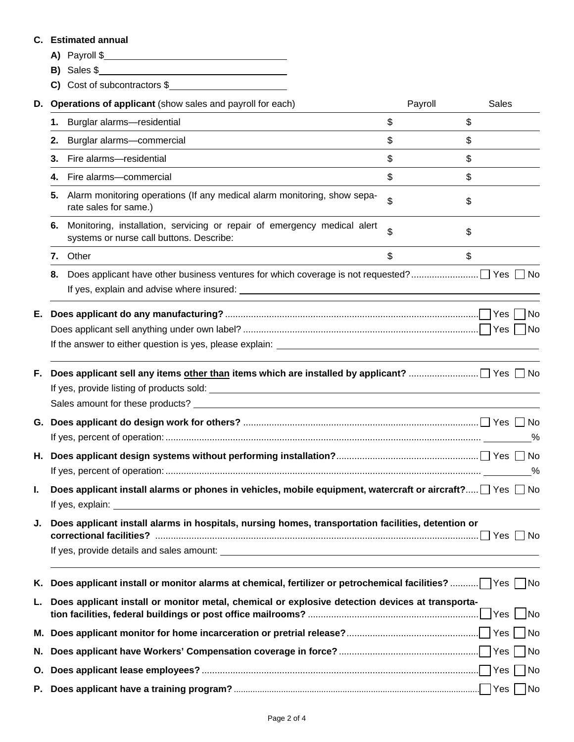# **C. Estimated annual**

- **A)** Payroll \$
- **B)** Sales \$
- **C)** Cost of subcontractors \$

| D.       |                                                                                                                     | Operations of applicant (show sales and payroll for each)                                                            | Payroll | Sales |  |  |  |
|----------|---------------------------------------------------------------------------------------------------------------------|----------------------------------------------------------------------------------------------------------------------|---------|-------|--|--|--|
|          | 1.                                                                                                                  | Burglar alarms-residential                                                                                           | \$      | \$    |  |  |  |
|          | 2.                                                                                                                  | Burglar alarms-commercial                                                                                            | \$      | \$    |  |  |  |
|          | 3.                                                                                                                  | Fire alarms-residential                                                                                              | \$      | \$    |  |  |  |
|          | 4.                                                                                                                  | Fire alarms-commercial                                                                                               | \$      | \$    |  |  |  |
|          | 5.                                                                                                                  | Alarm monitoring operations (If any medical alarm monitoring, show sepa-<br>rate sales for same.)                    | \$      | \$    |  |  |  |
|          | 6.                                                                                                                  | Monitoring, installation, servicing or repair of emergency medical alert<br>systems or nurse call buttons. Describe: | \$      | \$    |  |  |  |
|          | 7.                                                                                                                  | Other                                                                                                                | \$      | \$    |  |  |  |
|          | 8.                                                                                                                  |                                                                                                                      |         |       |  |  |  |
| Е.       |                                                                                                                     |                                                                                                                      |         |       |  |  |  |
|          |                                                                                                                     |                                                                                                                      |         |       |  |  |  |
|          |                                                                                                                     |                                                                                                                      |         |       |  |  |  |
| F.<br>G. |                                                                                                                     |                                                                                                                      |         |       |  |  |  |
| Н.       |                                                                                                                     |                                                                                                                      |         |       |  |  |  |
| I.       | Does applicant install alarms or phones in vehicles, mobile equipment, watercraft or aircraft? $\Box$ Yes $\Box$ No |                                                                                                                      |         |       |  |  |  |
| J.       | Does applicant install alarms in hospitals, nursing homes, transportation facilities, detention or                  |                                                                                                                      |         |       |  |  |  |
|          |                                                                                                                     |                                                                                                                      |         |       |  |  |  |
| L.       | Does applicant install or monitor metal, chemical or explosive detection devices at transporta-                     |                                                                                                                      |         |       |  |  |  |
|          |                                                                                                                     |                                                                                                                      |         |       |  |  |  |
| N.       |                                                                                                                     |                                                                                                                      |         |       |  |  |  |
| О.       |                                                                                                                     |                                                                                                                      |         | No    |  |  |  |
|          |                                                                                                                     |                                                                                                                      |         | No    |  |  |  |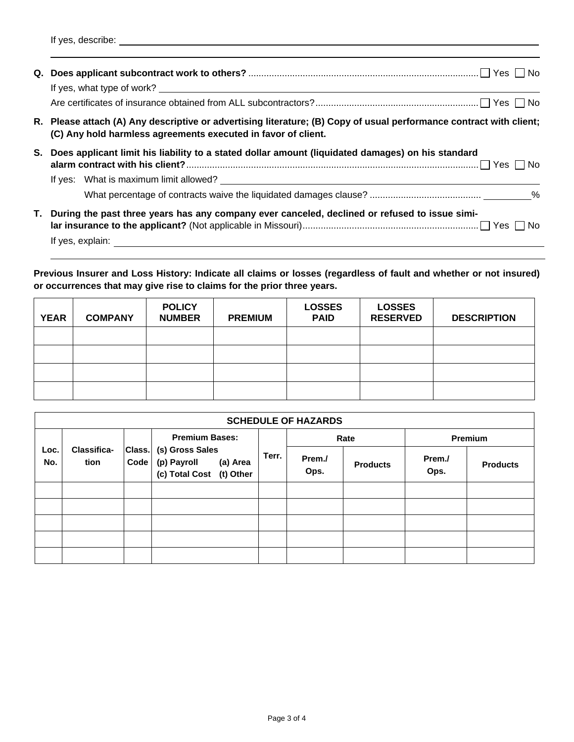If yes, describe:

|    | R. Please attach (A) Any descriptive or advertising literature; (B) Copy of usual performance contract with client;<br>(C) Any hold harmless agreements executed in favor of client. |
|----|--------------------------------------------------------------------------------------------------------------------------------------------------------------------------------------|
| S. | Does applicant limit his liability to a stated dollar amount (liquidated damages) on his standard                                                                                    |
|    |                                                                                                                                                                                      |
|    |                                                                                                                                                                                      |
| Т. | During the past three years has any company ever canceled, declined or refused to issue simi-                                                                                        |
|    | If yes, explain:                                                                                                                                                                     |

**Previous Insurer and Loss History: Indicate all claims or losses (regardless of fault and whether or not insured) or occurrences that may give rise to claims for the prior three years.** 

| <b>YEAR</b> | <b>COMPANY</b> | <b>POLICY</b><br><b>NUMBER</b> | <b>PREMIUM</b> | <b>LOSSES</b><br><b>PAID</b> | <b>LOSSES</b><br><b>RESERVED</b> | <b>DESCRIPTION</b> |
|-------------|----------------|--------------------------------|----------------|------------------------------|----------------------------------|--------------------|
|             |                |                                |                |                              |                                  |                    |
|             |                |                                |                |                              |                                  |                    |
|             |                |                                |                |                              |                                  |                    |
|             |                |                                |                |                              |                                  |                    |

|             | <b>SCHEDULE OF HAZARDS</b> |                |                                                                        |       |                |                 |                |                 |
|-------------|----------------------------|----------------|------------------------------------------------------------------------|-------|----------------|-----------------|----------------|-----------------|
|             |                            |                | <b>Premium Bases:</b>                                                  |       | Rate           |                 | <b>Premium</b> |                 |
| Loc.<br>No. | <b>Classifica-</b><br>tion | Class.<br>Code | (s) Gross Sales<br>(p) Payroll<br>(a) Area<br>(c) Total Cost (t) Other | Terr. | Prem./<br>Ops. | <b>Products</b> | Prem./<br>Ops. | <b>Products</b> |
|             |                            |                |                                                                        |       |                |                 |                |                 |
|             |                            |                |                                                                        |       |                |                 |                |                 |
|             |                            |                |                                                                        |       |                |                 |                |                 |
|             |                            |                |                                                                        |       |                |                 |                |                 |
|             |                            |                |                                                                        |       |                |                 |                |                 |